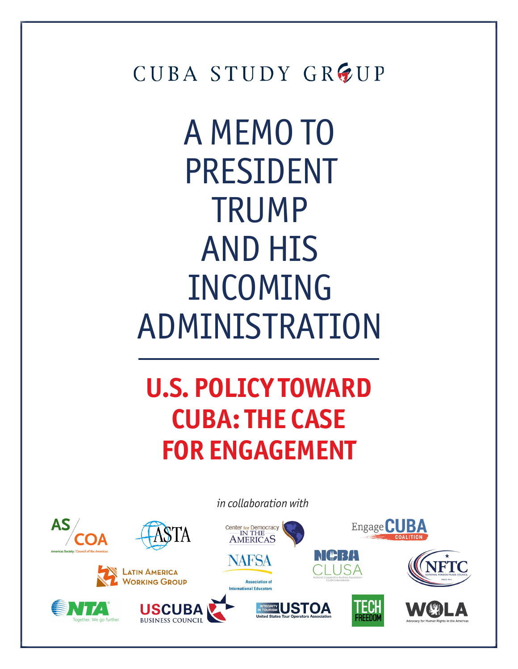CUBA STUDY GROUP

A MEMO TO PRESIDENT TRUMP AND HIS INCOMING ADMINISTRATION

**U.S. POLICY TOWARD CUBA: THE CASE FOR ENGAGEMENT**

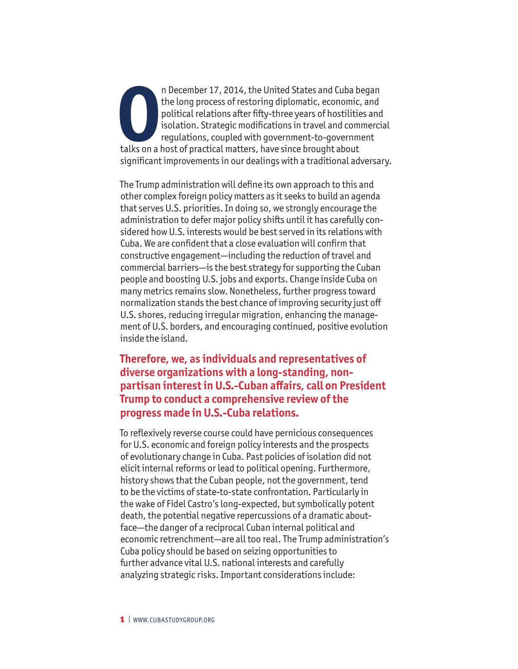**OP**the long process of restoring diplomatic, economic,<br>
political relations after fifty-three years of hostilitie<br>
isolation. Strategic modifications in travel and com<br>
regulations, coupled with government-to-governm<br>
ta n December 17, 2014, the United States and Cuba began the long process of restoring diplomatic, economic, and political relations after fifty-three years of hostilities and isolation. Strategic modifications in travel and commercial regulations, coupled with government-to-government significant improvements in our dealings with a traditional adversary.

The Trump administration will define its own approach to this and other complex foreign policy matters as it seeks to build an agenda that serves U.S. priorities. In doing so, we strongly encourage the administration to defer major policy shifts until it has carefully considered how U.S. interests would be best served in its relations with Cuba. We are confident that a close evaluation will confirm that constructive engagement—including the reduction of travel and commercial barriers—is the best strategy for supporting the Cuban people and boosting U.S. jobs and exports. Change inside Cuba on many metrics remains slow. Nonetheless, further progress toward normalization stands the best chance of improving security just off U.S. shores, reducing irregular migration, enhancing the management of U.S. borders, and encouraging continued, positive evolution inside the island.

**Therefore, we, as individuals and representatives of diverse organizations with a long-standing, nonpartisan interest in U.S.-Cuban affairs, call on President Trump to conduct a comprehensive review of the progress made in U.S.-Cuba relations.** 

To reflexively reverse course could have pernicious consequences for U.S. economic and foreign policy interests and the prospects of evolutionary change in Cuba. Past policies of isolation did not elicit internal reforms or lead to political opening. Furthermore, history shows that the Cuban people, not the government, tend to be the victims of state-to-state confrontation. Particularly in the wake of Fidel Castro's long-expected, but symbolically potent death, the potential negative repercussions of a dramatic aboutface—the danger of a reciprocal Cuban internal political and economic retrenchment—are all too real. The Trump administration's Cuba policy should be based on seizing opportunities to further advance vital U.S. national interests and carefully analyzing strategic risks. Important considerations include: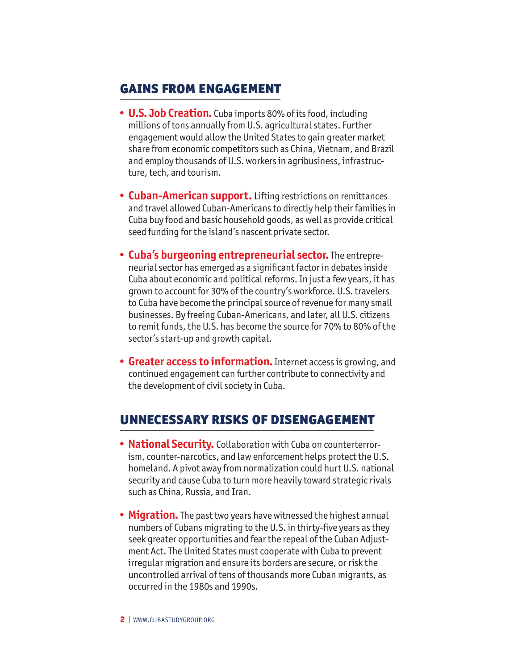## Gains from Engagement

- **• U.S. Job Creation.** Cuba imports 80% of its food, including millions of tons annually from U.S. agricultural states. Further engagement would allow the United States to gain greater market share from economic competitors such as China, Vietnam, and Brazil and employ thousands of U.S. workers in agribusiness, infrastructure, tech, and tourism.
- **• Cuban-American support.** Lifting restrictions on remittances and travel allowed Cuban-Americans to directly help their families in Cuba buy food and basic household goods, as well as provide critical seed funding for the island's nascent private sector.
- **• Cuba's burgeoning entrepreneurial sector.** The entrepreneurial sector has emerged as a significant factor in debates inside Cuba about economic and political reforms. In just a few years, it has grown to account for 30% of the country's workforce. U.S. travelers to Cuba have become the principal source of revenue for many small businesses. By freeing Cuban-Americans, and later, all U.S. citizens to remit funds, the U.S. has become the source for 70% to 80% of the sector's start-up and growth capital.
- **• Greater access to information.**Internet access is growing, and continued engagement can further contribute to connectivity and the development of civil society in Cuba.

## Unnecessary Risks of Disengagement

- **• National Security.** Collaboration with Cuba on counterterrorism, counter-narcotics, and law enforcement helps protect the U.S. homeland. A pivot away from normalization could hurt U.S. national security and cause Cuba to turn more heavily toward strategic rivals such as China, Russia, and Iran.
- **• Migration.** The past two years have witnessed the highest annual numbers of Cubans migrating to the U.S. in thirty-five years as they seek greater opportunities and fear the repeal of the Cuban Adjustment Act. The United States must cooperate with Cuba to prevent irregular migration and ensure its borders are secure, or risk the uncontrolled arrival of tens of thousands more Cuban migrants, as occurred in the 1980s and 1990s.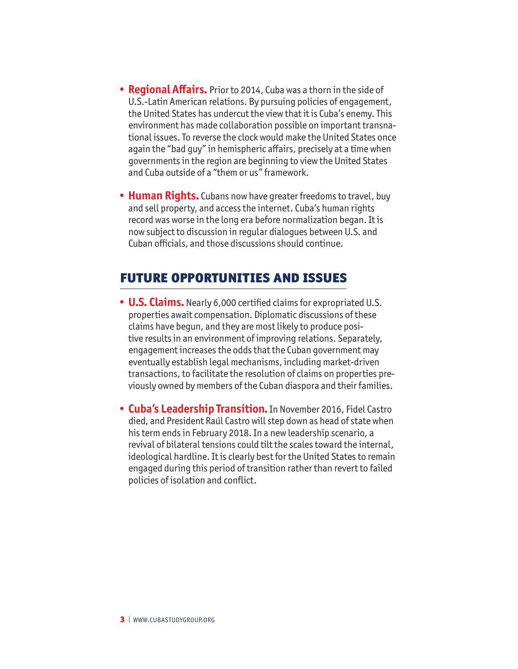- **• Regional Affairs.** Prior to 2014, Cuba was a thorn in the side of U.S.-Latin American relations. By pursuing policies of engagement, the United States has undercut the view that it is Cuba's enemy. This environment has made collaboration possible on important transnational issues. To reverse the clock would make the United States once again the "bad guy" in hemispheric affairs, precisely at a time when governments in the region are beginning to view the United States and Cuba outside of a "them or us" framework.
- **• Human Rights.** Cubans now have greater freedoms to travel, buy and sell property, and access the internet. Cuba's human rights record was worse in the long era before normalization began. It is now subject to discussion in regular dialogues between U.S. and Cuban officials, and those discussions should continue.

## Future Opportunities and Issues

- **• U.S. Claims.** Nearly 6,000 certified claims for expropriated U.S. properties await compensation. Diplomatic discussions of these claims have begun, and they are most likely to produce positive results in an environment of improving relations. Separately, engagement increases the odds that the Cuban government may eventually establish legal mechanisms, including market-driven transactions, to facilitate the resolution of claims on properties previously owned by members of the Cuban diaspora and their families.
- **• Cuba's Leadership Transition.** In November 2016, Fidel Castro died, and President Raúl Castro will step down as head of state when his term ends in February 2018. In a new leadership scenario, a revival of bilateral tensions could tilt the scales toward the internal, ideological hardline. It is clearly best for the United States to remain engaged during this period of transition rather than revert to failed policies of isolation and conflict.